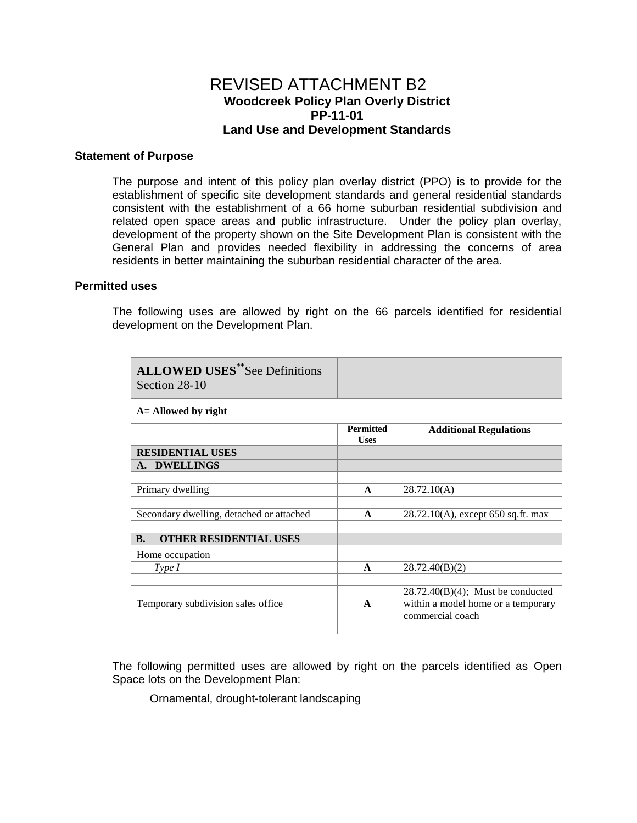# REVISED ATTACHMENT B2 **Woodcreek Policy Plan Overly District PP-11-01 Land Use and Development Standards**

#### **Statement of Purpose**

The purpose and intent of this policy plan overlay district (PPO) is to provide for the establishment of specific site development standards and general residential standards consistent with the establishment of a 66 home suburban residential subdivision and related open space areas and public infrastructure. Under the policy plan overlay, development of the property shown on the Site Development Plan is consistent with the General Plan and provides needed flexibility in addressing the concerns of area residents in better maintaining the suburban residential character of the area.

### **Permitted uses**

The following uses are allowed by right on the 66 parcels identified for residential development on the Development Plan.

| <b>ALLOWED USES**See Definitions</b><br>Section 28-10 |                                 |                                                                                                |
|-------------------------------------------------------|---------------------------------|------------------------------------------------------------------------------------------------|
| A = Allowed by right                                  |                                 |                                                                                                |
|                                                       | <b>Permitted</b><br><b>Uses</b> | <b>Additional Regulations</b>                                                                  |
| <b>RESIDENTIAL USES</b>                               |                                 |                                                                                                |
| A. DWELLINGS                                          |                                 |                                                                                                |
|                                                       |                                 |                                                                                                |
| Primary dwelling                                      | $\mathbf{A}$                    | 28.72.10(A)                                                                                    |
|                                                       |                                 |                                                                                                |
| Secondary dwelling, detached or attached              | $\mathbf{A}$                    | $28.72.10(A)$ , except 650 sq.ft. max                                                          |
|                                                       |                                 |                                                                                                |
| <b>B.</b><br><b>OTHER RESIDENTIAL USES</b>            |                                 |                                                                                                |
| Home occupation                                       |                                 |                                                                                                |
| Type I                                                | $\mathbf A$                     | 28.72.40(B)(2)                                                                                 |
|                                                       |                                 |                                                                                                |
| Temporary subdivision sales office                    | $\mathbf{A}$                    | $28.72.40(B)(4)$ ; Must be conducted<br>within a model home or a temporary<br>commercial coach |
|                                                       |                                 |                                                                                                |

The following permitted uses are allowed by right on the parcels identified as Open Space lots on the Development Plan:

Ornamental, drought-tolerant landscaping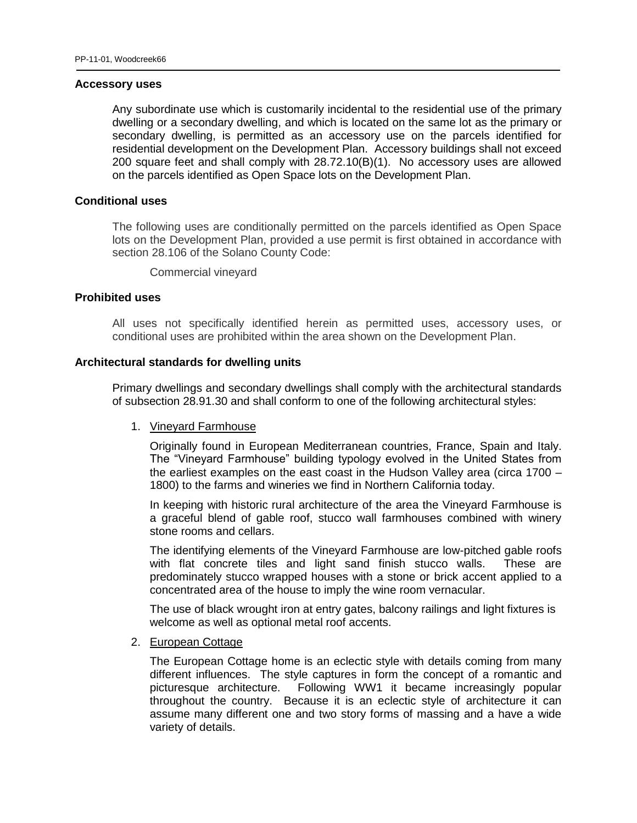#### **Accessory uses**

Any subordinate use which is customarily incidental to the residential use of the primary dwelling or a secondary dwelling, and which is located on the same lot as the primary or secondary dwelling, is permitted as an accessory use on the parcels identified for residential development on the Development Plan. Accessory buildings shall not exceed 200 square feet and shall comply with 28.72.10(B)(1). No accessory uses are allowed on the parcels identified as Open Space lots on the Development Plan.

#### **Conditional uses**

The following uses are conditionally permitted on the parcels identified as Open Space lots on the Development Plan, provided a use permit is first obtained in accordance with section 28.106 of the Solano County Code:

Commercial vineyard

## **Prohibited uses**

All uses not specifically identified herein as permitted uses, accessory uses, or conditional uses are prohibited within the area shown on the Development Plan.

### **Architectural standards for dwelling units**

Primary dwellings and secondary dwellings shall comply with the architectural standards of subsection 28.91.30 and shall conform to one of the following architectural styles:

## 1. Vineyard Farmhouse

Originally found in European Mediterranean countries, France, Spain and Italy. The "Vineyard Farmhouse" building typology evolved in the United States from the earliest examples on the east coast in the Hudson Valley area (circa 1700 – 1800) to the farms and wineries we find in Northern California today.

In keeping with historic rural architecture of the area the Vineyard Farmhouse is a graceful blend of gable roof, stucco wall farmhouses combined with winery stone rooms and cellars.

The identifying elements of the Vineyard Farmhouse are low-pitched gable roofs with flat concrete tiles and light sand finish stucco walls. These are predominately stucco wrapped houses with a stone or brick accent applied to a concentrated area of the house to imply the wine room vernacular.

The use of black wrought iron at entry gates, balcony railings and light fixtures is welcome as well as optional metal roof accents.

## 2. European Cottage

The European Cottage home is an eclectic style with details coming from many different influences. The style captures in form the concept of a romantic and picturesque architecture. Following WW1 it became increasingly popular throughout the country. Because it is an eclectic style of architecture it can assume many different one and two story forms of massing and a have a wide variety of details.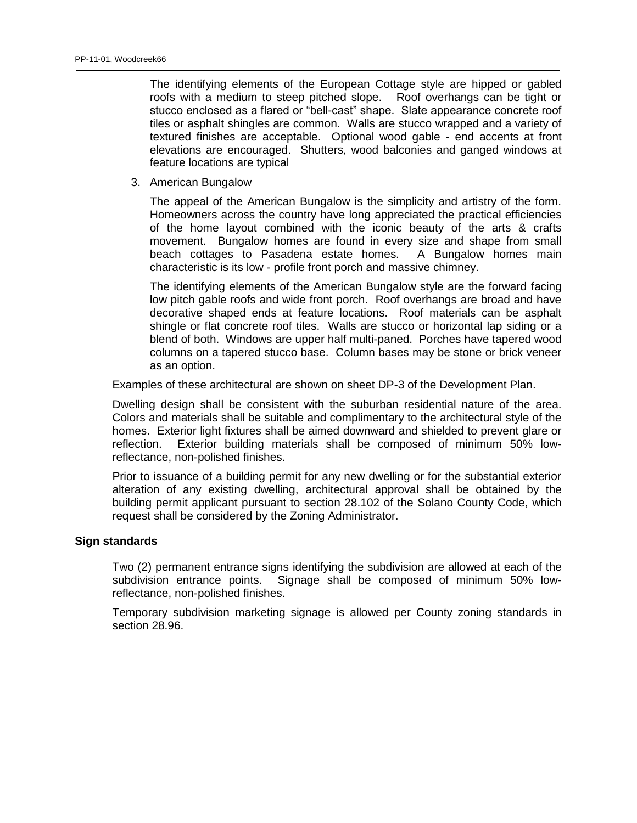The identifying elements of the European Cottage style are hipped or gabled roofs with a medium to steep pitched slope. Roof overhangs can be tight or stucco enclosed as a flared or "bell-cast" shape. Slate appearance concrete roof tiles or asphalt shingles are common. Walls are stucco wrapped and a variety of textured finishes are acceptable. Optional wood gable - end accents at front elevations are encouraged. Shutters, wood balconies and ganged windows at feature locations are typical

3. American Bungalow

The appeal of the American Bungalow is the simplicity and artistry of the form. Homeowners across the country have long appreciated the practical efficiencies of the home layout combined with the iconic beauty of the arts & crafts movement. Bungalow homes are found in every size and shape from small beach cottages to Pasadena estate homes. A Bungalow homes main characteristic is its low - profile front porch and massive chimney.

The identifying elements of the American Bungalow style are the forward facing low pitch gable roofs and wide front porch. Roof overhangs are broad and have decorative shaped ends at feature locations. Roof materials can be asphalt shingle or flat concrete roof tiles. Walls are stucco or horizontal lap siding or a blend of both. Windows are upper half multi-paned. Porches have tapered wood columns on a tapered stucco base. Column bases may be stone or brick veneer as an option.

Examples of these architectural are shown on sheet DP-3 of the Development Plan.

Dwelling design shall be consistent with the suburban residential nature of the area. Colors and materials shall be suitable and complimentary to the architectural style of the homes. Exterior light fixtures shall be aimed downward and shielded to prevent glare or reflection. Exterior building materials shall be composed of minimum 50% lowreflectance, non-polished finishes.

Prior to issuance of a building permit for any new dwelling or for the substantial exterior alteration of any existing dwelling, architectural approval shall be obtained by the building permit applicant pursuant to section 28.102 of the Solano County Code, which request shall be considered by the Zoning Administrator.

#### **Sign standards**

Two (2) permanent entrance signs identifying the subdivision are allowed at each of the subdivision entrance points. Signage shall be composed of minimum 50% lowreflectance, non-polished finishes.

Temporary subdivision marketing signage is allowed per County zoning standards in section 28.96.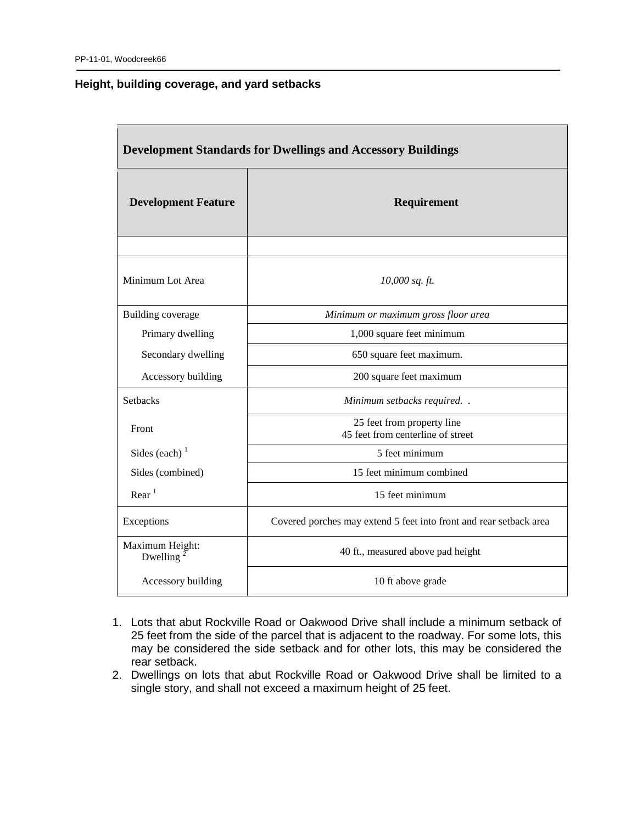## **Height, building coverage, and yard setbacks**

| <b>Development Standards for Dwellings and Accessory Buildings</b> |                                                                    |  |
|--------------------------------------------------------------------|--------------------------------------------------------------------|--|
| <b>Development Feature</b>                                         | Requirement                                                        |  |
|                                                                    |                                                                    |  |
| Minimum Lot Area                                                   | 10,000 sq. ft.                                                     |  |
| <b>Building coverage</b>                                           | Minimum or maximum gross floor area                                |  |
| Primary dwelling                                                   | 1,000 square feet minimum                                          |  |
| Secondary dwelling                                                 | 650 square feet maximum.                                           |  |
| Accessory building                                                 | 200 square feet maximum                                            |  |
| <b>Setbacks</b>                                                    | Minimum setbacks required                                          |  |
| Front                                                              | 25 feet from property line<br>45 feet from centerline of street    |  |
| Sides (each) $1$                                                   | 5 feet minimum                                                     |  |
| Sides (combined)                                                   | 15 feet minimum combined                                           |  |
| Rear <sup>1</sup>                                                  | 15 feet minimum                                                    |  |
| Exceptions                                                         | Covered porches may extend 5 feet into front and rear setback area |  |
| Maximum Height:<br>Dwelling <sup>2</sup>                           | 40 ft., measured above pad height                                  |  |
| Accessory building                                                 | 10 ft above grade                                                  |  |

- 1. Lots that abut Rockville Road or Oakwood Drive shall include a minimum setback of 25 feet from the side of the parcel that is adjacent to the roadway. For some lots, this may be considered the side setback and for other lots, this may be considered the rear setback.
- 2. Dwellings on lots that abut Rockville Road or Oakwood Drive shall be limited to a single story, and shall not exceed a maximum height of 25 feet.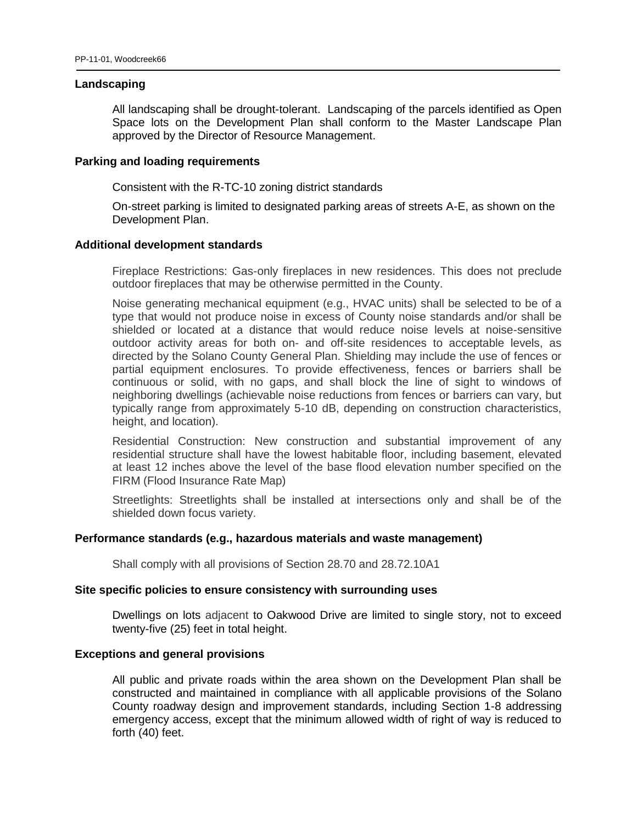#### **Landscaping**

All landscaping shall be drought-tolerant. Landscaping of the parcels identified as Open Space lots on the Development Plan shall conform to the Master Landscape Plan approved by the Director of Resource Management.

## **Parking and loading requirements**

Consistent with the R-TC-10 zoning district standards

On-street parking is limited to designated parking areas of streets A-E, as shown on the Development Plan.

### **Additional development standards**

Fireplace Restrictions: Gas-only fireplaces in new residences. This does not preclude outdoor fireplaces that may be otherwise permitted in the County.

Noise generating mechanical equipment (e.g., HVAC units) shall be selected to be of a type that would not produce noise in excess of County noise standards and/or shall be shielded or located at a distance that would reduce noise levels at noise-sensitive outdoor activity areas for both on- and off-site residences to acceptable levels, as directed by the Solano County General Plan. Shielding may include the use of fences or partial equipment enclosures. To provide effectiveness, fences or barriers shall be continuous or solid, with no gaps, and shall block the line of sight to windows of neighboring dwellings (achievable noise reductions from fences or barriers can vary, but typically range from approximately 5-10 dB, depending on construction characteristics, height, and location).

Residential Construction: New construction and substantial improvement of any residential structure shall have the lowest habitable floor, including basement, elevated at least 12 inches above the level of the base flood elevation number specified on the FIRM (Flood Insurance Rate Map)

Streetlights: Streetlights shall be installed at intersections only and shall be of the shielded down focus variety.

#### **Performance standards (e.g., hazardous materials and waste management)**

Shall comply with all provisions of Section 28.70 and 28.72.10A1

#### **Site specific policies to ensure consistency with surrounding uses**

Dwellings on lots adjacent to Oakwood Drive are limited to single story, not to exceed twenty-five (25) feet in total height.

## **Exceptions and general provisions**

All public and private roads within the area shown on the Development Plan shall be constructed and maintained in compliance with all applicable provisions of the Solano County roadway design and improvement standards, including Section 1-8 addressing emergency access, except that the minimum allowed width of right of way is reduced to forth (40) feet.